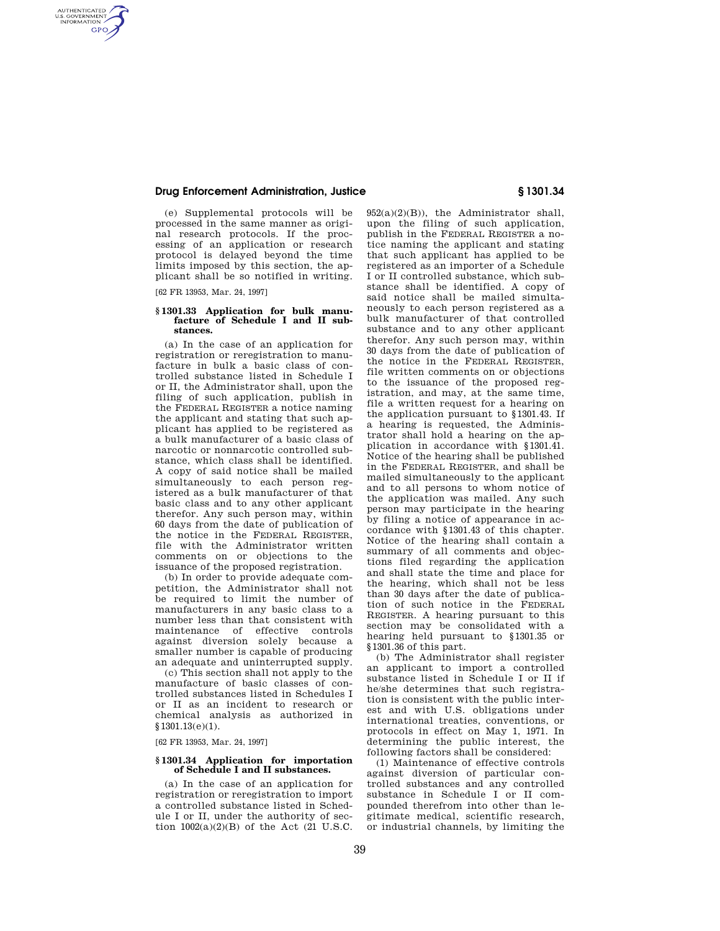## **Drug Enforcement Administration, Justice § 1301.34**

(e) Supplemental protocols will be processed in the same manner as original research protocols. If the processing of an application or research protocol is delayed beyond the time limits imposed by this section, the applicant shall be so notified in writing.

[62 FR 13953, Mar. 24, 1997]

AUTHENTICATED<br>U.S. GOVERNMENT<br>INFORMATION **GPO** 

#### **§ 1301.33 Application for bulk manufacture of Schedule I and II substances.**

(a) In the case of an application for registration or reregistration to manufacture in bulk a basic class of controlled substance listed in Schedule I or II, the Administrator shall, upon the filing of such application, publish in the FEDERAL REGISTER a notice naming the applicant and stating that such applicant has applied to be registered as a bulk manufacturer of a basic class of narcotic or nonnarcotic controlled substance, which class shall be identified. A copy of said notice shall be mailed simultaneously to each person registered as a bulk manufacturer of that basic class and to any other applicant therefor. Any such person may, within 60 days from the date of publication of the notice in the FEDERAL REGISTER, file with the Administrator written comments on or objections to the issuance of the proposed registration.

(b) In order to provide adequate competition, the Administrator shall not be required to limit the number of manufacturers in any basic class to a number less than that consistent with maintenance of effective controls against diversion solely because a smaller number is capable of producing an adequate and uninterrupted supply.

(c) This section shall not apply to the manufacture of basic classes of controlled substances listed in Schedules I or II as an incident to research or chemical analysis as authorized in §1301.13(e)(1).

[62 FR 13953, Mar. 24, 1997]

### **§ 1301.34 Application for importation of Schedule I and II substances.**

(a) In the case of an application for registration or reregistration to import a controlled substance listed in Schedule I or II, under the authority of section  $1002(a)(2)(B)$  of the Act (21 U.S.C. 952(a)(2)(B)), the Administrator shall, upon the filing of such application, publish in the FEDERAL REGISTER a notice naming the applicant and stating that such applicant has applied to be registered as an importer of a Schedule I or II controlled substance, which substance shall be identified. A copy of said notice shall be mailed simultaneously to each person registered as a bulk manufacturer of that controlled substance and to any other applicant therefor. Any such person may, within 30 days from the date of publication of the notice in the FEDERAL REGISTER, file written comments on or objections to the issuance of the proposed registration, and may, at the same time, file a written request for a hearing on the application pursuant to §1301.43. If a hearing is requested, the Administrator shall hold a hearing on the application in accordance with §1301.41. Notice of the hearing shall be published in the FEDERAL REGISTER, and shall be mailed simultaneously to the applicant and to all persons to whom notice of the application was mailed. Any such person may participate in the hearing by filing a notice of appearance in accordance with §1301.43 of this chapter. Notice of the hearing shall contain a summary of all comments and objections filed regarding the application and shall state the time and place for the hearing, which shall not be less than 30 days after the date of publication of such notice in the FEDERAL REGISTER. A hearing pursuant to this section may be consolidated with a hearing held pursuant to §1301.35 or §1301.36 of this part.

(b) The Administrator shall register an applicant to import a controlled substance listed in Schedule I or II if he/she determines that such registration is consistent with the public interest and with U.S. obligations under international treaties, conventions, or protocols in effect on May 1, 1971. In determining the public interest, the following factors shall be considered:

(1) Maintenance of effective controls against diversion of particular controlled substances and any controlled substance in Schedule I or II compounded therefrom into other than legitimate medical, scientific research, or industrial channels, by limiting the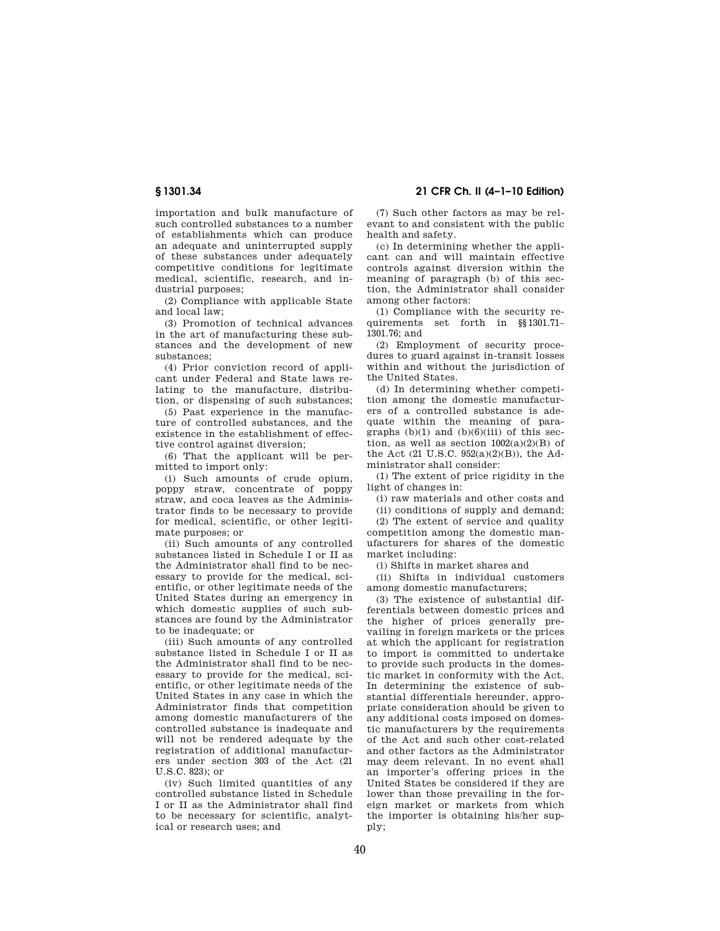importation and bulk manufacture of such controlled substances to a number of establishments which can produce an adequate and uninterrupted supply of these substances under adequately competitive conditions for legitimate medical, scientific, research, and industrial purposes;

(2) Compliance with applicable State and local law;

(3) Promotion of technical advances in the art of manufacturing these substances and the development of new substances;

(4) Prior conviction record of applicant under Federal and State laws relating to the manufacture, distribution, or dispensing of such substances;

(5) Past experience in the manufacture of controlled substances, and the existence in the establishment of effective control against diversion;

(6) That the applicant will be permitted to import only:

(i) Such amounts of crude opium, poppy straw, concentrate of poppy straw, and coca leaves as the Administrator finds to be necessary to provide for medical, scientific, or other legitimate purposes; or

(ii) Such amounts of any controlled substances listed in Schedule I or II as the Administrator shall find to be necessary to provide for the medical, scientific, or other legitimate needs of the United States during an emergency in which domestic supplies of such substances are found by the Administrator to be inadequate; or

(iii) Such amounts of any controlled substance listed in Schedule I or II as the Administrator shall find to be necessary to provide for the medical, scientific, or other legitimate needs of the United States in any case in which the Administrator finds that competition among domestic manufacturers of the controlled substance is inadequate and will not be rendered adequate by the registration of additional manufacturers under section 303 of the Act (21 U.S.C. 823); or

(iv) Such limited quantities of any controlled substance listed in Schedule I or II as the Administrator shall find to be necessary for scientific, analytical or research uses; and

(7) Such other factors as may be relevant to and consistent with the public health and safety.

(c) In determining whether the applicant can and will maintain effective controls against diversion within the meaning of paragraph (b) of this section, the Administrator shall consider among other factors:

(1) Compliance with the security requirements set forth in §§1301.71– 1301.76; and

(2) Employment of security procedures to guard against in-transit losses within and without the jurisdiction of the United States.

(d) In determining whether competition among the domestic manufacturers of a controlled substance is adequate within the meaning of paragraphs  $(b)(1)$  and  $(b)(6)(iii)$  of this section, as well as section  $1002(a)(2)(B)$  of the Act (21 U.S.C.  $952(a)(2)(B)$ ), the Administrator shall consider:

(1) The extent of price rigidity in the light of changes in:

(i) raw materials and other costs and

(ii) conditions of supply and demand; (2) The extent of service and quality competition among the domestic manufacturers for shares of the domestic market including:

(i) Shifts in market shares and

(ii) Shifts in individual customers among domestic manufacturers;

(3) The existence of substantial differentials between domestic prices and the higher of prices generally prevailing in foreign markets or the prices at which the applicant for registration to import is committed to undertake to provide such products in the domestic market in conformity with the Act. In determining the existence of substantial differentials hereunder, appropriate consideration should be given to any additional costs imposed on domestic manufacturers by the requirements of the Act and such other cost-related and other factors as the Administrator may deem relevant. In no event shall an importer's offering prices in the United States be considered if they are lower than those prevailing in the foreign market or markets from which the importer is obtaining his/her supply;